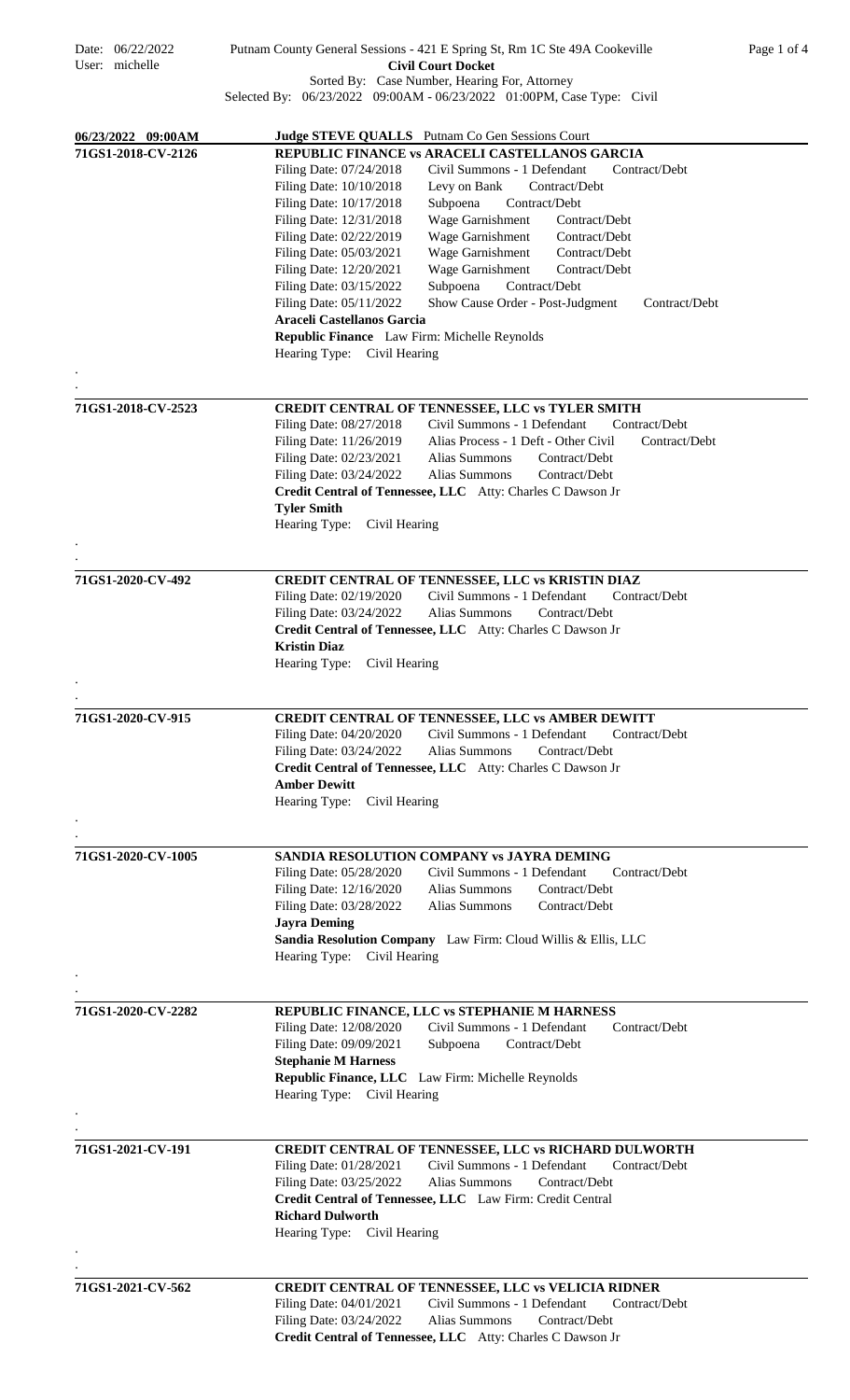| Date: 06/22/2022<br>User: michelle       | Putnam County General Sessions - 421 E Spring St, Rm 1C Ste 49A Cookeville<br><b>Civil Court Docket</b>                                                                                                                                                                                                                                                                                                                                                                                                                                                                                                                                                                                                                                                                                                                      | Page 1 of 4 |
|------------------------------------------|------------------------------------------------------------------------------------------------------------------------------------------------------------------------------------------------------------------------------------------------------------------------------------------------------------------------------------------------------------------------------------------------------------------------------------------------------------------------------------------------------------------------------------------------------------------------------------------------------------------------------------------------------------------------------------------------------------------------------------------------------------------------------------------------------------------------------|-------------|
|                                          | Sorted By: Case Number, Hearing For, Attorney<br>Selected By: 06/23/2022 09:00AM - 06/23/2022 01:00PM, Case Type: Civil                                                                                                                                                                                                                                                                                                                                                                                                                                                                                                                                                                                                                                                                                                      |             |
| 06/23/2022 09:00AM<br>71GS1-2018-CV-2126 | <b>Judge STEVE QUALLS</b> Putnam Co Gen Sessions Court<br>REPUBLIC FINANCE vs ARACELI CASTELLANOS GARCIA<br>Filing Date: 07/24/2018<br>Civil Summons - 1 Defendant<br>Contract/Debt<br>Filing Date: 10/10/2018<br>Contract/Debt<br>Levy on Bank<br>Filing Date: 10/17/2018<br>Subpoena<br>Contract/Debt<br>Filing Date: 12/31/2018<br>Wage Garnishment<br>Contract/Debt<br>Filing Date: 02/22/2019<br>Wage Garnishment<br>Contract/Debt<br>Filing Date: 05/03/2021<br>Wage Garnishment<br>Contract/Debt<br>Filing Date: 12/20/2021<br>Wage Garnishment<br>Contract/Debt<br>Filing Date: 03/15/2022<br>Subpoena<br>Contract/Debt<br>Filing Date: 05/11/2022<br>Show Cause Order - Post-Judgment<br>Contract/Debt<br>Araceli Castellanos Garcia<br>Republic Finance Law Firm: Michelle Reynolds<br>Hearing Type: Civil Hearing |             |
| 71GS1-2018-CV-2523                       | CREDIT CENTRAL OF TENNESSEE, LLC vs TYLER SMITH<br>Civil Summons - 1 Defendant<br>Filing Date: 08/27/2018<br>Contract/Debt<br>Filing Date: 11/26/2019<br>Alias Process - 1 Deft - Other Civil<br>Contract/Debt<br>Filing Date: 02/23/2021<br>Alias Summons<br>Contract/Debt<br>Filing Date: 03/24/2022<br>Alias Summons<br>Contract/Debt<br>Credit Central of Tennessee, LLC Atty: Charles C Dawson Jr<br><b>Tyler Smith</b><br>Hearing Type:<br>Civil Hearing                                                                                                                                                                                                                                                                                                                                                               |             |
| 71GS1-2020-CV-492                        | CREDIT CENTRAL OF TENNESSEE, LLC vs KRISTIN DIAZ<br>Civil Summons - 1 Defendant<br>Filing Date: 02/19/2020<br>Contract/Debt<br>Alias Summons<br>Filing Date: 03/24/2022<br>Contract/Debt<br>Credit Central of Tennessee, LLC Atty: Charles C Dawson Jr<br><b>Kristin Diaz</b><br>Hearing Type:<br>Civil Hearing                                                                                                                                                                                                                                                                                                                                                                                                                                                                                                              |             |
|                                          |                                                                                                                                                                                                                                                                                                                                                                                                                                                                                                                                                                                                                                                                                                                                                                                                                              |             |
| 71GS1-2020-CV-915                        | <b>CREDIT CENTRAL OF TENNESSEE, LLC vs AMBER DEWITT</b><br>Filing Date: 04/20/2020<br>Civil Summons - 1 Defendant<br>Contract/Debt<br>Filing Date: 03/24/2022<br>Alias Summons<br>Contract/Debt<br>Credit Central of Tennessee, LLC Atty: Charles C Dawson Jr<br><b>Amber Dewitt</b><br>Hearing Type:<br>Civil Hearing                                                                                                                                                                                                                                                                                                                                                                                                                                                                                                       |             |
|                                          |                                                                                                                                                                                                                                                                                                                                                                                                                                                                                                                                                                                                                                                                                                                                                                                                                              |             |
| 71GS1-2020-CV-1005                       | SANDIA RESOLUTION COMPANY vs JAYRA DEMING<br>Filing Date: 05/28/2020<br>Civil Summons - 1 Defendant<br>Contract/Debt<br>Filing Date: 12/16/2020<br>Alias Summons<br>Contract/Debt<br>Filing Date: 03/28/2022<br>Alias Summons<br>Contract/Debt<br><b>Jayra Deming</b><br>Sandia Resolution Company Law Firm: Cloud Willis & Ellis, LLC<br>Civil Hearing<br>Hearing Type:                                                                                                                                                                                                                                                                                                                                                                                                                                                     |             |
|                                          |                                                                                                                                                                                                                                                                                                                                                                                                                                                                                                                                                                                                                                                                                                                                                                                                                              |             |
| 71GS1-2020-CV-2282                       | REPUBLIC FINANCE, LLC vs STEPHANIE M HARNESS<br>Civil Summons - 1 Defendant<br>Filing Date: 12/08/2020<br>Contract/Debt<br>Filing Date: 09/09/2021<br>Contract/Debt<br>Subpoena<br><b>Stephanie M Harness</b><br>Republic Finance, LLC Law Firm: Michelle Reynolds<br>Hearing Type: Civil Hearing                                                                                                                                                                                                                                                                                                                                                                                                                                                                                                                            |             |
|                                          |                                                                                                                                                                                                                                                                                                                                                                                                                                                                                                                                                                                                                                                                                                                                                                                                                              |             |
| 71GS1-2021-CV-191                        | CREDIT CENTRAL OF TENNESSEE, LLC vs RICHARD DULWORTH<br>Civil Summons - 1 Defendant<br>Filing Date: 01/28/2021<br>Contract/Debt<br>Filing Date: 03/25/2022<br><b>Alias Summons</b><br>Contract/Debt<br>Credit Central of Tennessee, LLC Law Firm: Credit Central<br><b>Richard Dulworth</b><br>Hearing Type:<br>Civil Hearing                                                                                                                                                                                                                                                                                                                                                                                                                                                                                                |             |
| 71GS1-2021-CV-562                        | <b>CREDIT CENTRAL OF TENNESSEE, LLC vs VELICIA RIDNER</b>                                                                                                                                                                                                                                                                                                                                                                                                                                                                                                                                                                                                                                                                                                                                                                    |             |
|                                          | Civil Summons - 1 Defendant<br>Filing Date: 04/01/2021<br>Contract/Debt<br>Filing Date: 03/24/2022<br>Alias Summons<br>Contract/Debt<br>Credit Central of Tennessee, LLC Atty: Charles C Dawson Jr                                                                                                                                                                                                                                                                                                                                                                                                                                                                                                                                                                                                                           |             |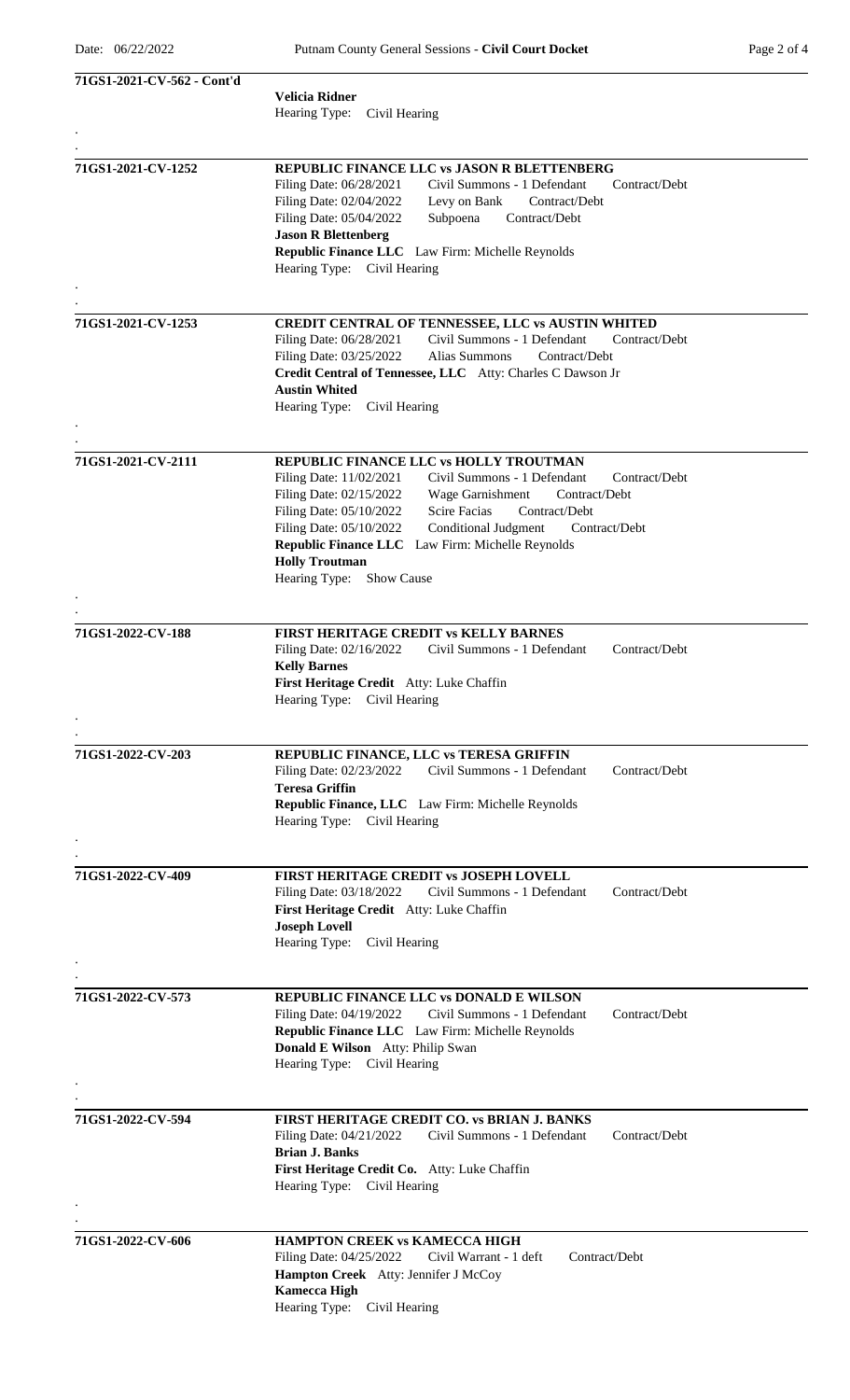| 71GS1-2021-CV-562 - Cont'd |                                                                                         |
|----------------------------|-----------------------------------------------------------------------------------------|
|                            | <b>Velicia Ridner</b>                                                                   |
|                            | Hearing Type:<br>Civil Hearing                                                          |
|                            |                                                                                         |
|                            |                                                                                         |
| 71GS1-2021-CV-1252         | REPUBLIC FINANCE LLC vs JASON R BLETTENBERG                                             |
|                            | Filing Date: 06/28/2021<br>Civil Summons - 1 Defendant<br>Contract/Debt                 |
|                            | Filing Date: 02/04/2022<br>Levy on Bank<br>Contract/Debt                                |
|                            | Filing Date: 05/04/2022<br>Subpoena<br>Contract/Debt                                    |
|                            | <b>Jason R Blettenberg</b>                                                              |
|                            | Republic Finance LLC Law Firm: Michelle Reynolds                                        |
|                            | Hearing Type: Civil Hearing                                                             |
|                            |                                                                                         |
| 71GS1-2021-CV-1253         | CREDIT CENTRAL OF TENNESSEE, LLC vs AUSTIN WHITED                                       |
|                            | Filing Date: 06/28/2021<br>Civil Summons - 1 Defendant<br>Contract/Debt                 |
|                            | Filing Date: 03/25/2022<br>Alias Summons<br>Contract/Debt                               |
|                            | Credit Central of Tennessee, LLC Atty: Charles C Dawson Jr                              |
|                            | <b>Austin Whited</b>                                                                    |
|                            | Hearing Type:<br>Civil Hearing                                                          |
|                            |                                                                                         |
|                            |                                                                                         |
| 71GS1-2021-CV-2111         | REPUBLIC FINANCE LLC vs HOLLY TROUTMAN<br>Civil Summons - 1 Defendant<br>Contract/Debt  |
|                            | Filing Date: 11/02/2021<br>Filing Date: 02/15/2022<br>Wage Garnishment<br>Contract/Debt |
|                            | Filing Date: 05/10/2022<br>Scire Facias<br>Contract/Debt                                |
|                            | Filing Date: 05/10/2022<br>Conditional Judgment<br>Contract/Debt                        |
|                            | Republic Finance LLC Law Firm: Michelle Reynolds                                        |
|                            | <b>Holly Troutman</b>                                                                   |
|                            | Hearing Type:<br><b>Show Cause</b>                                                      |
|                            |                                                                                         |
|                            |                                                                                         |
| 71GS1-2022-CV-188          | FIRST HERITAGE CREDIT vs KELLY BARNES                                                   |
|                            | Contract/Debt<br>Filing Date: 02/16/2022<br>Civil Summons - 1 Defendant                 |
|                            | <b>Kelly Barnes</b>                                                                     |
|                            | First Heritage Credit Atty: Luke Chaffin                                                |
|                            | Hearing Type: Civil Hearing                                                             |
|                            |                                                                                         |
| 71GS1-2022-CV-203          | REPUBLIC FINANCE, LLC vs TERESA GRIFFIN                                                 |
|                            | Civil Summons - 1 Defendant<br>Contract/Debt<br>Filing Date: 02/23/2022                 |
|                            | <b>Teresa Griffin</b>                                                                   |
|                            | Republic Finance, LLC Law Firm: Michelle Reynolds                                       |
|                            | Hearing Type: Civil Hearing                                                             |
|                            |                                                                                         |
|                            |                                                                                         |
| 71GS1-2022-CV-409          | <b>FIRST HERITAGE CREDIT vs JOSEPH LOVELL</b>                                           |
|                            | Filing Date: 03/18/2022<br>Civil Summons - 1 Defendant<br>Contract/Debt                 |
|                            | First Heritage Credit Atty: Luke Chaffin                                                |
|                            | <b>Joseph Lovell</b><br>Hearing Type:<br>Civil Hearing                                  |
|                            |                                                                                         |
|                            |                                                                                         |
| 71GS1-2022-CV-573          | REPUBLIC FINANCE LLC vs DONALD E WILSON                                                 |
|                            | Filing Date: 04/19/2022<br>Civil Summons - 1 Defendant<br>Contract/Debt                 |
|                            | Republic Finance LLC Law Firm: Michelle Reynolds                                        |
|                            | Donald E Wilson Atty: Philip Swan                                                       |
|                            | Hearing Type: Civil Hearing                                                             |
|                            |                                                                                         |
|                            |                                                                                         |
| 71GS1-2022-CV-594          | FIRST HERITAGE CREDIT CO. vs BRIAN J. BANKS                                             |
|                            | Civil Summons - 1 Defendant<br>Filing Date: 04/21/2022<br>Contract/Debt                 |
|                            | <b>Brian J. Banks</b>                                                                   |
|                            | First Heritage Credit Co. Atty: Luke Chaffin<br>Hearing Type: Civil Hearing             |
|                            |                                                                                         |
|                            |                                                                                         |
| 71GS1-2022-CV-606          | <b>HAMPTON CREEK vs KAMECCA HIGH</b>                                                    |
|                            | Filing Date: 04/25/2022<br>Contract/Debt<br>Civil Warrant - 1 deft                      |
|                            | Hampton Creek Atty: Jennifer J McCoy                                                    |
|                            | <b>Kamecca High</b>                                                                     |
|                            | Hearing Type: Civil Hearing                                                             |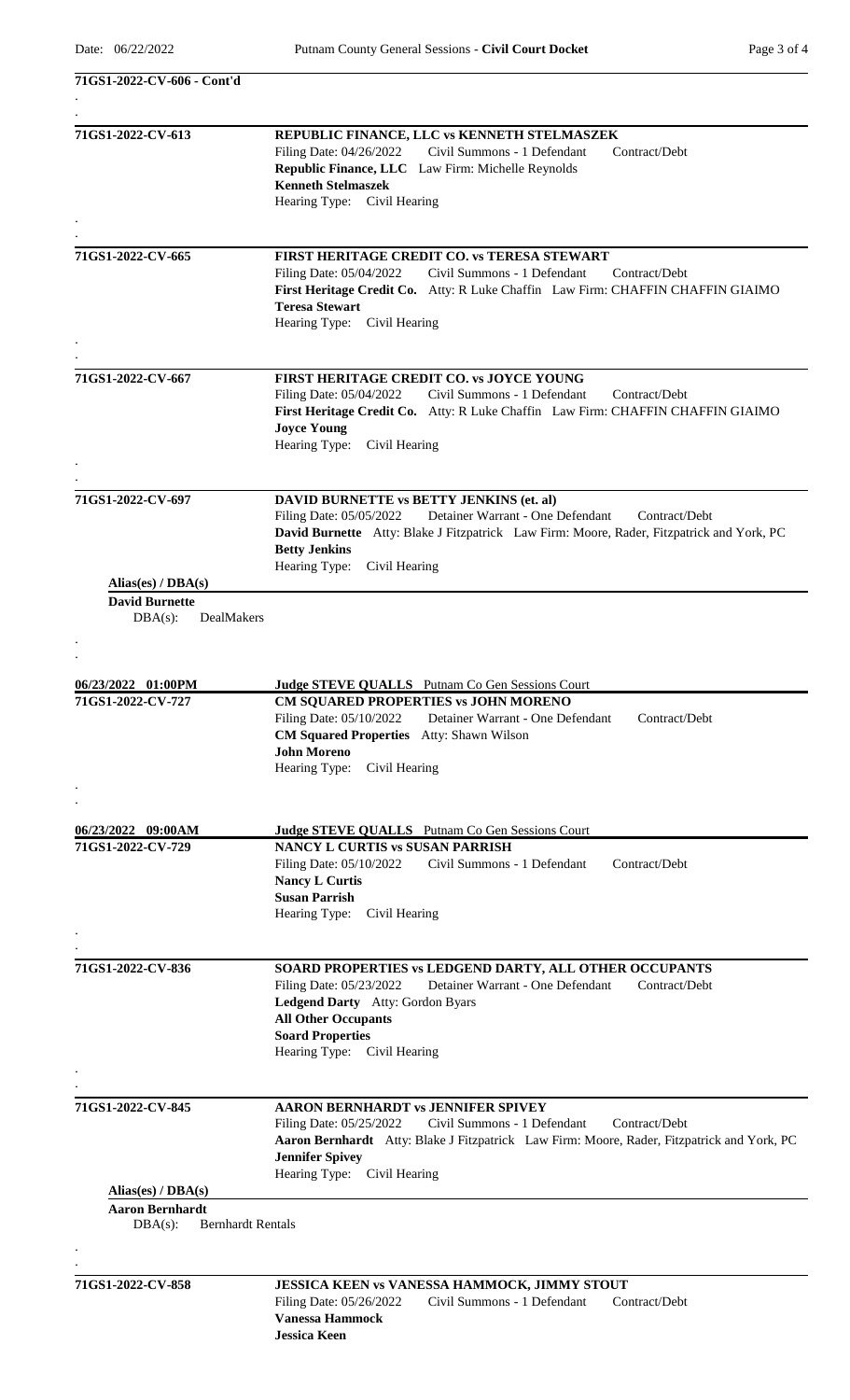.

**71GS1-2022-CV-606 - Cont'd**

| 71GS1-2022-CV-613                      | REPUBLIC FINANCE, LLC vs KENNETH STELMASZEK                                                                             |
|----------------------------------------|-------------------------------------------------------------------------------------------------------------------------|
|                                        | Filing Date: 04/26/2022<br>Civil Summons - 1 Defendant<br>Contract/Debt                                                 |
|                                        | Republic Finance, LLC Law Firm: Michelle Reynolds                                                                       |
|                                        | <b>Kenneth Stelmaszek</b>                                                                                               |
|                                        | Hearing Type: Civil Hearing                                                                                             |
|                                        |                                                                                                                         |
| 71GS1-2022-CV-665                      | FIRST HERITAGE CREDIT CO. vs TERESA STEWART                                                                             |
|                                        | Civil Summons - 1 Defendant<br>Filing Date: 05/04/2022<br>Contract/Debt                                                 |
|                                        | First Heritage Credit Co. Atty: R Luke Chaffin Law Firm: CHAFFIN CHAFFIN GIAIMO                                         |
|                                        | <b>Teresa Stewart</b>                                                                                                   |
|                                        | Hearing Type: Civil Hearing                                                                                             |
|                                        |                                                                                                                         |
|                                        |                                                                                                                         |
| 71GS1-2022-CV-667                      | FIRST HERITAGE CREDIT CO. vs JOYCE YOUNG                                                                                |
|                                        | Filing Date: 05/04/2022<br>Civil Summons - 1 Defendant<br>Contract/Debt                                                 |
|                                        | First Heritage Credit Co. Atty: R Luke Chaffin Law Firm: CHAFFIN CHAFFIN GIAIMO                                         |
|                                        | <b>Joyce Young</b>                                                                                                      |
|                                        | Hearing Type:<br>Civil Hearing                                                                                          |
|                                        |                                                                                                                         |
| 71GS1-2022-CV-697                      | <b>DAVID BURNETTE vs BETTY JENKINS (et. al)</b>                                                                         |
|                                        | Detainer Warrant - One Defendant<br>Filing Date: 05/05/2022<br>Contract/Debt                                            |
|                                        | David Burnette Atty: Blake J Fitzpatrick Law Firm: Moore, Rader, Fitzpatrick and York, PC                               |
|                                        | <b>Betty Jenkins</b>                                                                                                    |
|                                        | Hearing Type:<br>Civil Hearing                                                                                          |
| Alias(es) / $DBA(s)$                   |                                                                                                                         |
| <b>David Burnette</b>                  |                                                                                                                         |
| DealMakers<br>$DBA(s)$ :               |                                                                                                                         |
|                                        |                                                                                                                         |
|                                        |                                                                                                                         |
|                                        |                                                                                                                         |
| 06/23/2022 01:00PM                     | <b>Judge STEVE QUALLS</b> Putnam Co Gen Sessions Court                                                                  |
| 71GS1-2022-CV-727                      | CM SQUARED PROPERTIES vs JOHN MORENO                                                                                    |
|                                        | Filing Date: 05/10/2022<br>Detainer Warrant - One Defendant<br>Contract/Debt                                            |
|                                        | <b>CM Squared Properties</b> Atty: Shawn Wilson<br><b>John Moreno</b>                                                   |
|                                        | Hearing Type:<br>Civil Hearing                                                                                          |
|                                        |                                                                                                                         |
|                                        |                                                                                                                         |
|                                        |                                                                                                                         |
| 06/23/2022 09:00AM                     | Judge STEVE QUALLS Putnam Co Gen Sessions Court                                                                         |
| 71GS1-2022-CV-729                      | <b>NANCY L CURTIS vs SUSAN PARRISH</b>                                                                                  |
|                                        | Civil Summons - 1 Defendant<br>Filing Date: 05/10/2022<br>Contract/Debt                                                 |
|                                        | <b>Nancy L Curtis</b>                                                                                                   |
|                                        | <b>Susan Parrish</b>                                                                                                    |
|                                        | Hearing Type: Civil Hearing                                                                                             |
|                                        |                                                                                                                         |
| 71GS1-2022-CV-836                      | SOARD PROPERTIES vs LEDGEND DARTY, ALL OTHER OCCUPANTS                                                                  |
|                                        | Filing Date: 05/23/2022<br>Detainer Warrant - One Defendant<br>Contract/Debt                                            |
|                                        | Ledgend Darty Atty: Gordon Byars                                                                                        |
|                                        | <b>All Other Occupants</b>                                                                                              |
|                                        | <b>Soard Properties</b>                                                                                                 |
|                                        | Hearing Type: Civil Hearing                                                                                             |
|                                        |                                                                                                                         |
| 71GS1-2022-CV-845                      | <b>AARON BERNHARDT vs JENNIFER SPIVEY</b>                                                                               |
|                                        | Civil Summons - 1 Defendant<br>Filing Date: 05/25/2022<br>Contract/Debt                                                 |
|                                        | Aaron Bernhardt Atty: Blake J Fitzpatrick Law Firm: Moore, Rader, Fitzpatrick and York, PC                              |
|                                        | <b>Jennifer Spivey</b>                                                                                                  |
|                                        | Hearing Type: Civil Hearing                                                                                             |
| Alias(es) / $DBA(s)$                   |                                                                                                                         |
| <b>Aaron Bernhardt</b>                 |                                                                                                                         |
| <b>Bernhardt Rentals</b><br>$DBA(s)$ : |                                                                                                                         |
|                                        |                                                                                                                         |
|                                        |                                                                                                                         |
| 71GS1-2022-CV-858                      | JESSICA KEEN vs VANESSA HAMMOCK, JIMMY STOUT<br>Filing Date: 05/26/2022<br>Civil Summons - 1 Defendant<br>Contract/Debt |
|                                        | <b>Vanessa Hammock</b>                                                                                                  |

**Jessica Keen**